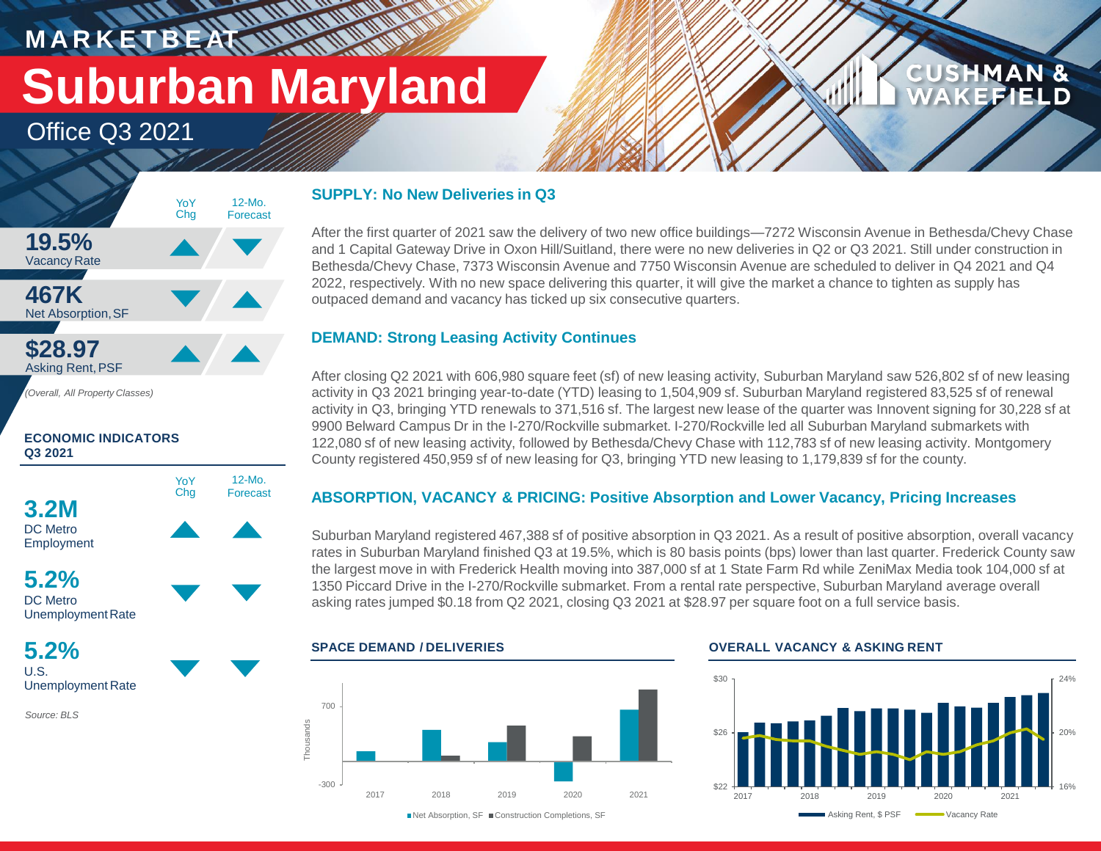## **M A R K E T B E AT Suburban Maryland**

**WATER** 

12-Mo. Forecast

Office Q3 2021



#### **ECONOMIC INDICATORS Q3 2021**





**5.2%** U.S. Unemployment Rate

*Source: BLS*

#### **SUPPLY: No New Deliveries in Q3**

After the first quarter of 2021 saw the delivery of two new office buildings—7272 Wisconsin Avenue in Bethesda/Chevy Chase and 1 Capital Gateway Drive in Oxon Hill/Suitland, there were no new deliveries in Q2 or Q3 2021. Still under construction in Bethesda/Chevy Chase, 7373 Wisconsin Avenue and 7750 Wisconsin Avenue are scheduled to deliver in Q4 2021 and Q4 2022, respectively. With no new space delivering this quarter, it will give the market a chance to tighten as supply has outpaced demand and vacancy has ticked up six consecutive quarters.

### **DEMAND: Strong Leasing Activity Continues**

After closing Q2 2021 with 606,980 square feet (sf) of new leasing activity, Suburban Maryland saw 526,802 sf of new leasing activity in Q3 2021 bringing year-to-date (YTD) leasing to 1,504,909 sf. Suburban Maryland registered 83,525 sf of renewal activity in Q3, bringing YTD renewals to 371,516 sf. The largest new lease of the quarter was Innovent signing for 30,228 sf at 9900 Belward Campus Dr in the I-270/Rockville submarket. I-270/Rockville led all Suburban Maryland submarkets with 122,080 sf of new leasing activity, followed by Bethesda/Chevy Chase with 112,783 sf of new leasing activity. Montgomery County registered 450,959 sf of new leasing for Q3, bringing YTD new leasing to 1,179,839 sf for the county.

### **ABSORPTION, VACANCY & PRICING: Positive Absorption and Lower Vacancy, Pricing Increases**

Suburban Maryland registered 467,388 sf of positive absorption in Q3 2021. As a result of positive absorption, overall vacancy rates in Suburban Maryland finished Q3 at 19.5%, which is 80 basis points (bps) lower than last quarter. Frederick County saw the largest move in with Frederick Health moving into 387,000 sf at 1 State Farm Rd while ZeniMax Media took 104,000 sf at 1350 Piccard Drive in the I-270/Rockville submarket. From a rental rate perspective, Suburban Maryland average overall asking rates jumped \$0.18 from Q2 2021, closing Q3 2021 at \$28.97 per square foot on a full service basis.



#### **SPACE DEMAND / DELIVERIES OVERALL VACANCY & ASKING RENT**



**CUSHMAN &** 

**FEIELD** 

■Net Absorption, SF ■ Construction Completions, SF